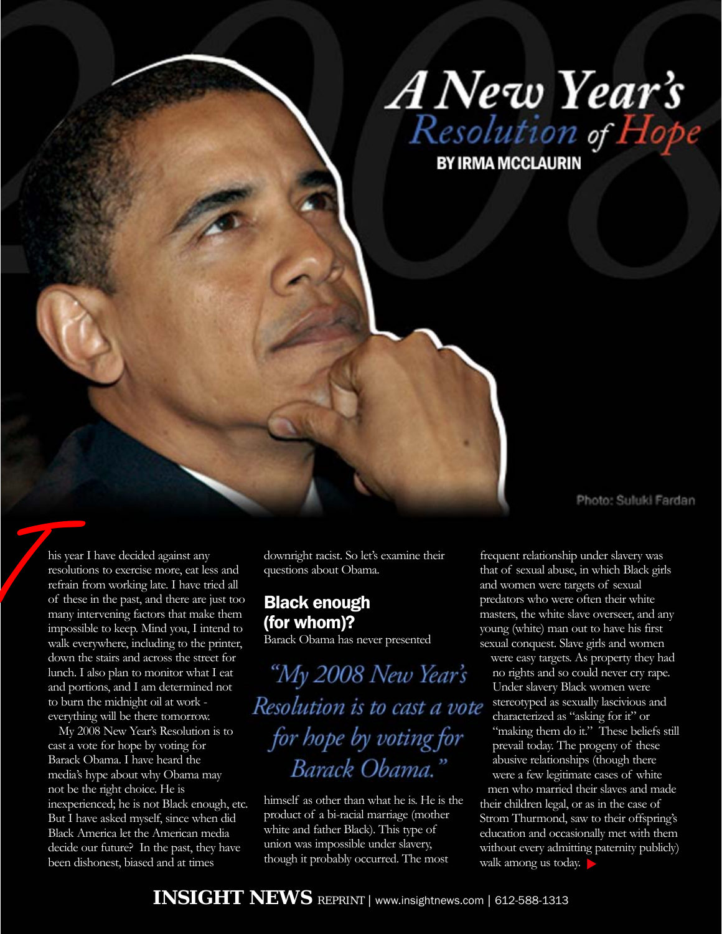

his year I have decided against any resolutions to exercise more, eat less and refrain from working late. I have tried all of these in the past, and there are just too many intervening factors that make them impossible to keep. Mind you, I intend to walk everywhere, including to the printer, down the stairs and across the street for lunch. I also plan to monitor what I eat and portions, and I am determined not to burn the midnight oil at work everything will be there tomorrow. This year<br>
tesolutic<br>
refrain f<br>
of these

> My 2008 New Year's Resolution is to cast a vote for hope by voting for Barack Obama. I have heard the media's hype about why Obama may not be the right choice. He is inexperienced; he is not Black enough, etc. But I have asked myself, since when did Black America let the American media decide our future? In the past, they have been dishonest, biased and at times

downright racist. So let's examine their questions about Obama.

### Black enough (for whom)?

Barack Obama has never presented

"My 2008 New Year's Resolution is to cast a vote for hope by voting for Barack Obama."

himself as other than what he is. He is the product of a bi-racial marriage (mother white and father Black). This type of union was impossible under slavery, though it probably occurred. The most

frequent relationship under slavery was that of sexual abuse, in which Black girls and women were targets of sexual predators who were often their white masters, the white slave overseer, and any young (white) man out to have his first sexual conquest. Slave girls and women

were easy targets. As property they had no rights and so could never cry rape. Under slavery Black women were stereotyped as sexually lascivious and characterized as "asking for it" or "making them do it." These beliefs still prevail today. The progeny of these abusive relationships (though there were a few legitimate cases of white

men who married their slaves and made their children legal, or as in the case of Strom Thurmond, saw to their offspring's education and occasionally met with them without every admitting paternity publicly) walk among us today.  $\blacktriangleright$ 

Photo: Suluki Fardan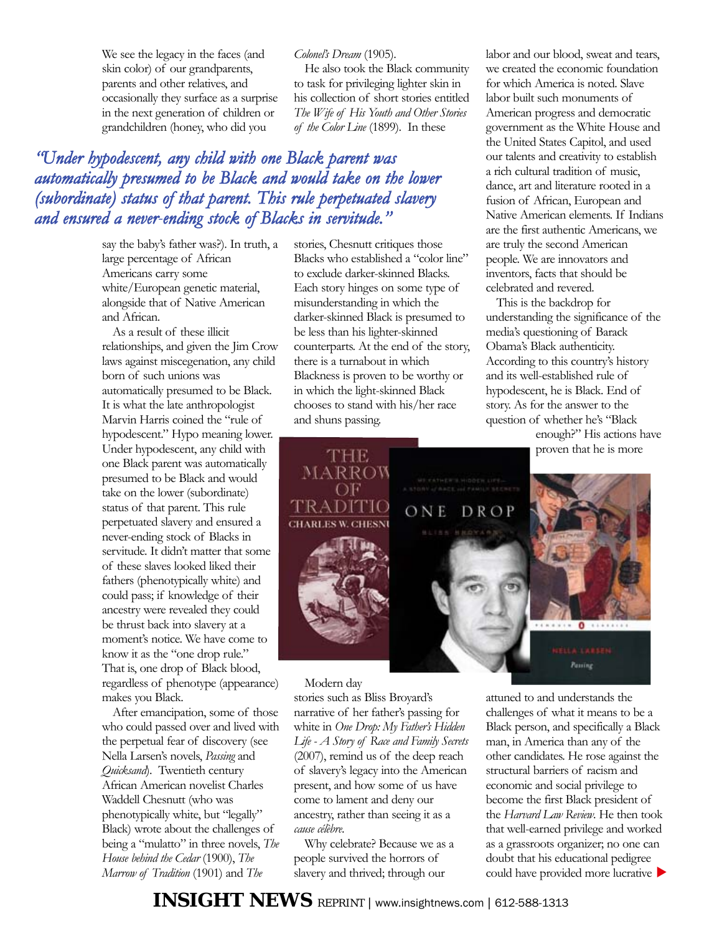We see the legacy in the faces (and skin color) of our grandparents, parents and other relatives, and occasionally they surface as a surprise in the next generation of children or grandchildren (honey, who did you

*Colonel's Dream* (1905).

He also took the Black community to task for privileging lighter skin in his collection of short stories entitled *The Wife of His Youth and Other Stories of the Color Line* (1899). In these

## *"Under hypodescent, any child with one Black parent was automatically presumed to be Black and would take on the lower (subordinate) status of that parent. This rule perpetuated slavery and ensured a never-ending stock of Blacks in servitude."*

say the baby's father was?). In truth, a large percentage of African Americans carry some white/European genetic material, alongside that of Native American and African.

As a result of these illicit relationships, and given the Jim Crow laws against miscegenation, any child born of such unions was automatically presumed to be Black. It is what the late anthropologist Marvin Harris coined the "rule of hypodescent." Hypo meaning lower. Under hypodescent, any child with one Black parent was automatically presumed to be Black and would take on the lower (subordinate) status of that parent. This rule perpetuated slavery and ensured a never-ending stock of Blacks in servitude. It didn't matter that some of these slaves looked liked their fathers (phenotypically white) and could pass; if knowledge of their ancestry were revealed they could be thrust back into slavery at a moment's notice. We have come to know it as the "one drop rule." That is, one drop of Black blood, regardless of phenotype (appearance) makes you Black.

After emancipation, some of those who could passed over and lived with the perpetual fear of discovery (see Nella Larsen's novels, *Passing* and *Quicksand*). Twentieth century African American novelist Charles Waddell Chesnutt (who was phenotypically white, but "legally" Black) wrote about the challenges of being a "mulatto" in three novels, *The House behind the Cedar* (1900), *The Marrow of Tradition* (1901) and *The*

stories, Chesnutt critiques those Blacks who established a "color line" to exclude darker-skinned Blacks. Each story hinges on some type of misunderstanding in which the darker-skinned Black is presumed to be less than his lighter-skinned counterparts. At the end of the story, there is a turnabout in which Blackness is proven to be worthy or in which the light-skinned Black chooses to stand with his/her race and shuns passing.

labor and our blood, sweat and tears, we created the economic foundation for which America is noted. Slave labor built such monuments of American progress and democratic government as the White House and the United States Capitol, and used our talents and creativity to establish a rich cultural tradition of music, dance, art and literature rooted in a fusion of African, European and Native American elements. If Indians are the first authentic Americans, we are truly the second American people. We are innovators and inventors, facts that should be celebrated and revered.

This is the backdrop for understanding the significance of the media's questioning of Barack Obama's Black authenticity. According to this country's history and its well-established rule of hypodescent, he is Black. End of story. As for the answer to the question of whether he's "Black

enough?" His actions have proven that he is more



Modern day

stories such as Bliss Broyard's narrative of her father's passing for white in *One Drop: My Father's Hidden Life - A Story of Race and Family Secrets* (2007), remind us of the deep reach of slavery's legacy into the American present, and how some of us have come to lament and deny our ancestry, rather than seeing it as a *cause célèbre*.

Why celebrate? Because we as a people survived the horrors of slavery and thrived; through our

attuned to and understands the challenges of what it means to be a Black person, and specifically a Black man, in America than any of the other candidates. He rose against the structural barriers of racism and economic and social privilege to become the first Black president of the *Harvard Law Review*. He then took that well-earned privilege and worked as a grassroots organizer; no one can doubt that his educational pedigree could have provided more lucrative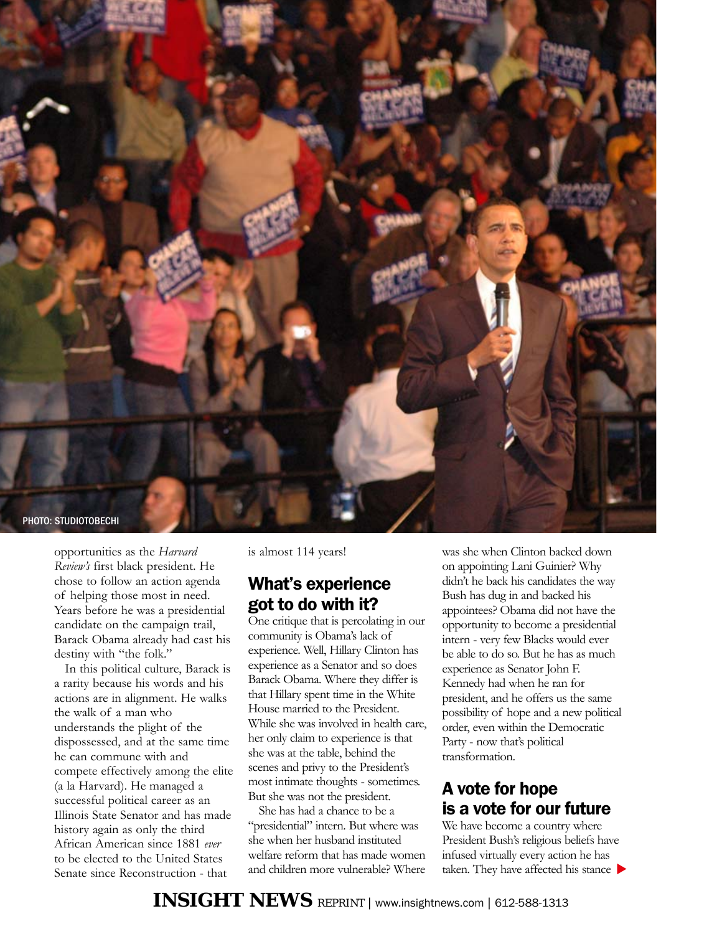

opportunities as the *Harvard Review's* first black president. He chose to follow an action agenda of helping those most in need. Years before he was a presidential candidate on the campaign trail, Barack Obama already had cast his destiny with "the folk."

In this political culture, Barack is a rarity because his words and his actions are in alignment. He walks the walk of a man who understands the plight of the dispossessed, and at the same time he can commune with and compete effectively among the elite (a la Harvard). He managed a successful political career as an Illinois State Senator and has made history again as only the third African American since 1881 *ever* to be elected to the United States Senate since Reconstruction - that

is almost 114 years!

# What's experience got to do with it?

One critique that is percolating in our community is Obama's lack of experience. Well, Hillary Clinton has experience as a Senator and so does Barack Obama. Where they differ is that Hillary spent time in the White House married to the President. While she was involved in health care, her only claim to experience is that she was at the table, behind the scenes and privy to the President's most intimate thoughts - sometimes. But she was not the president.

She has had a chance to be a "presidential" intern. But where was she when her husband instituted welfare reform that has made women and children more vulnerable? Where was she when Clinton backed down on appointing Lani Guinier? Why didn't he back his candidates the way Bush has dug in and backed his appointees? Obama did not have the opportunity to become a presidential intern - very few Blacks would ever be able to do so. But he has as much experience as Senator John F. Kennedy had when he ran for president, and he offers us the same possibility of hope and a new political order, even within the Democratic Party - now that's political transformation.

## A vote for hope is a vote for our future

We have become a country where President Bush's religious beliefs have infused virtually every action he has taken. They have affected his stance